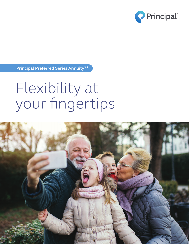

**Principal Preferred Series AnnuitySM**

# Flexibility at your fingertips

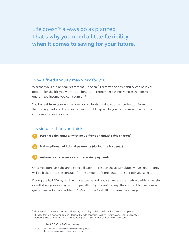Life doesn't always go as planned. **That's why you need a little flexibility when it comes to saving for your future.** 

# Why a fixed annuity may work for you

Whether you're in or near retirement, Principal<sup>®</sup> Preferred Series Annuity can help you prepare for the life you want. It's a long-term retirement savings vehicle that delivers guaranteed income you can count on.1

You benefit from tax-deferred savings while also giving yourself protection from fluctuating markets. And if something should happen to you, rest assured the income continues for your spouse.

# It's simpler than you think

**Purchase the annuity (with no up-front or annual sales charges)**



**Make optional additional payments (during the first year)**

**Automatically renew or start receiving payments**

Once you purchase the annuity, you'll earn interest on the accumulated value. Your money will be locked into the contract for the amount of time (guarantee period) you select.

During the last 30 days of the guarantee period, you can renew the contract with no hassle or withdraw your money without penalty.<sup>2</sup> If you want to keep the contract but set a new guarantee period, no problem. You've got the flexibility to make the change.

 $1$  Guarantees are based on the claims-paying ability of Principal Life Insurance Company.

<sup>2</sup> 30-day feature not available in Florida. Florida contracts will renew into one-year guarantee period at the end of the initial guarantee period. Surrender charges won't restart.

#### Not FDIC or NCUA Insured

May lose value • Not a deposit • No bank or credit union guarantee Not insured by any federal government agency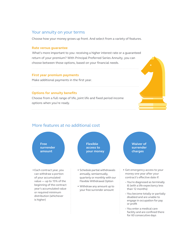### Your annuity on your terms

Choose how your money grows up front. And select from a variety of features.

#### **Rate versus guarantee**

What's more important to you: receiving a higher interest rate or a guaranteed return of your premium? With Principal Preferred Series Annuity, you can choose between those options, based on your financial needs.

#### **First year premium payments**

Make additional payments in the first year.

#### **Options for annuity benefits**

Choose from a full range of life, joint life and fixed period income options when you're ready.

# More features at no additional cost



• Each contract year, you can withdraw a portion of your accumulated value — up to 15% of the beginning of the contract year's accumulated value or required minimum distribution (whichever is higher)

**Flexible access to your money**

- Schedule partial withdrawals annually, semiannually, quarterly or monthly with our Flexible Withdrawal Option
- Withdraw any amount up to your free surrender amount

**Waiver of surrender charges**

- Get emergency access to your money one year after your contract's effective date if:
- You're diagnosed as terminally ill (with a life expectancy less than 12 months)
- You become totally or partially disabled and are unable to engage in occupation for pay or profit
- You enter a medical care facility and are confined there for 60 consecutive days